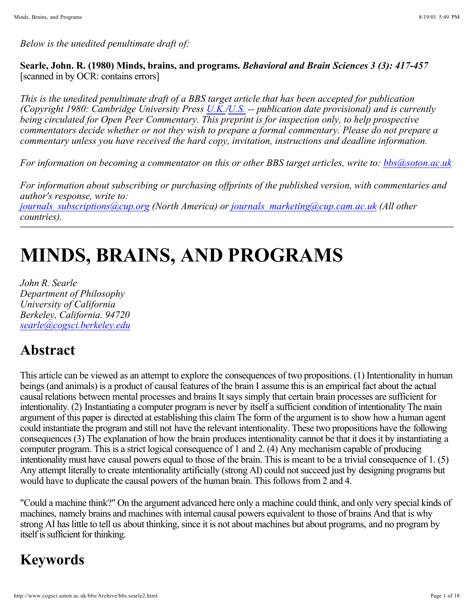*Below is the unedited penultimate draft of:*

[scanned in by OCR: contains errors] **Searle, John. R. (1980) Minds, brains, and programs.** *Behavioral and Brain Sciences 3 (3): 417-457*

*This is the unedited penultimate draft of a BBS target article that has been accepted for publication (Copyright 1980: Cambridge University Press / -- publication date provisional) and is currently U.K. U.S. being circulated for Open Peer Commentary. This preprint is for inspection only, to help prospective commentators decide whether or not they wish to prepare a formal commentary. Please do not prepare a commentary unless you have received the hard copy, invitation, instructions and deadline information.*

*For information on becoming a commentator on this or other BBS target articles, write to: bbs@soton.ac.uk*

*For information about subscribing or purchasing offprints of the published version, with commentaries and author's response, write to: (North America) or (All other journals\_subscriptions@cup.org journals\_marketing@cup.cam.ac.uk countries).*

# **MINDS, BRAINS, AND PROGRAMS**

*John R. Searle Department of Philosophy University of California Berkeley, California. 94720 searle@cogsci.berkeley.edu*

### **Abstract**

This article can be viewed as an attempt to explore the consequences of two propositions. (1) Intentionality in human beings (and animals) is a product of causal features of the brain I assume this is an empirical fact about the actual causal relations between mental processes and brains It says simply that certain brain processes are sufficient for intentionality. (2) Instantiating a computer program is never by itself a sufficient condition of intentionality The main argument of this paper is directed at establishing this claim The form of the argument isto show how a human agent could instantiate the program and still not have the relevant intentionality. These two propositions have the following consequences (3) The explanation of how the brain produces intentionality cannot be that it does it by instantiating a computer program. This is a strict logical consequence of 1 and 2. (4) Any mechanism capable of producing intentionality must have causal powers equal to those of the brain. This is meant to be a trivial consequence of 1. (5) Any attempt literally to create intentionality artificially (strong AI) could not succeed just by designing programs but would have to duplicate the causal powers of the human brain. This follows from 2 and 4.

"Could a machine think?" On the argument advanced here only a machine could think, and only very special kinds of machines, namely brains and machines with internal causal powers equivalent to those of brains And that is why strong AI has little to tell us about thinking, since it is not about machines but about programs, and no program by itself is sufficient for thinking.

## **Keywords**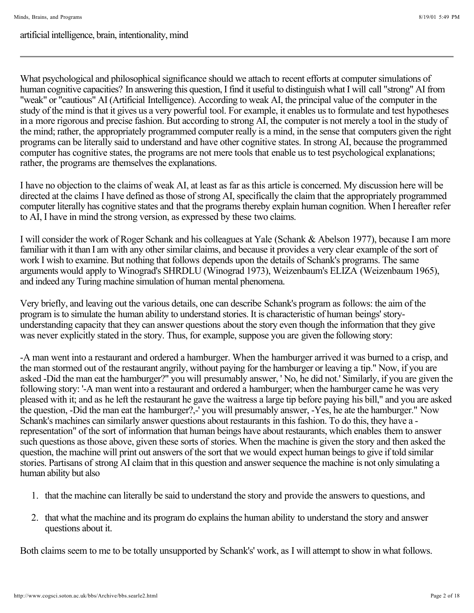What psychological and philosophical significance should we attach to recent efforts at computer simulations of human cognitive capacities? In answering this question, I find it useful to distinguish what I will call "strong" AI from "weak" or "cautious" AI (Artificial Intelligence). According to weak AI, the principal value of the computer in the study of the mind is that it gives us a very powerful tool. For example, it enables us to formulate and test hypotheses in a more rigorous and precise fashion. But according to strong AI, the computer is not merely a tool in the study of the mind; rather, the appropriately programmed computer really is a mind, in the sense that computers given the right programs can be literally said to understand and have other cognitive states. In strong AI, because the programmed computer has cognitive states, the programs are not mere tools that enable us to test psychological explanations; rather, the programs are themselves the explanations.

I have no objection to the claims of weak AI, at least as far as this article is concerned. My discussion here will be directed at the claims I have defined as those of strong AI, specifically the claim that the appropriately programmed computer literally has cognitive states and that the programs thereby explain human cognition. When I hereafter refer to AI, I have in mind the strong version, as expressed by these two claims.

I will consider the work of Roger Schank and his colleagues at Yale (Schank & Abelson 1977), because I am more familiar with it than I am with any other similar claims, and because it provides a very clear example of the sort of work I wish to examine. But nothing that follows depends upon the details of Schank's programs. The same arguments would apply to Winograd's SHRDLU (Winograd 1973), Weizenbaum's ELIZA (Weizenbaum 1965), and indeed any Turing machine simulation of human mental phenomena.

Very briefly, and leaving out the various details, one can describe Schank's program asfollows: the aim of the program is to simulate the human ability to understand stories. It is characteristic of human beings' storyunderstanding capacity that they can answer questions about the story even though the information that they give was never explicitly stated in the story. Thus, for example, suppose you are given the following story:

-A man went into a restaurant and ordered a hamburger. When the hamburger arrived it was burned to a crisp, and the man stormed out of the restaurant angrily, without paying for the hamburger or leaving a tip." Now, if you are asked -Did the man eat the hamburger?" you will presumably answer, ' No, he did not.' Similarly, if you are given the following story: '-A man went into a restaurant and ordered a hamburger; when the hamburger came he was very pleased with it; and as he left the restaurant he gave the waitress a large tip before paying his bill," and you are asked the question, -Did the man eat the hamburger?,-' you will presumably answer, -Yes, he ate the hamburger." Now Schank's machines can similarly answer questions about restaurants in this fashion. To do this, they have a representation" of the sort of information that human beings have about restaurants, which enables them to answer such questions as those above, given these sorts of stories. When the machine is given the story and then asked the question, the machine will print out answers of the sort that we would expect human beings to give if told similar stories. Partisans of strong AI claim that in this question and answer sequence the machine is not only simulating a human ability but also

- 1. that the machine can literally be said to understand the story and provide the answers to questions, and
- 2. that what the machine and its program do explains the human ability to understand the story and answer questions about it.

Both claims seem to me to be totally unsupported by Schank's' work, as I will attempt to show in what follows.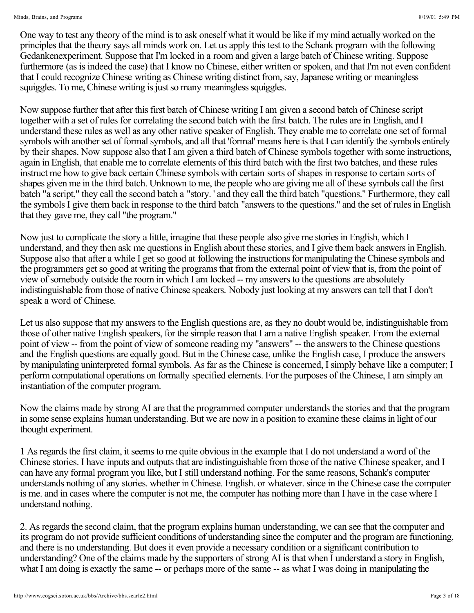One way to test any theory of the mind is to ask oneself what it would be like if my mind actually worked on the principles that the theory says all minds work on. Let us apply this test to the Schank program with the following Gedankenexperiment. Suppose that I'm locked in a room and given a large batch of Chinese writing. Suppose furthermore (as is indeed the case) that I know no Chinese, either written or spoken, and that I'm not even confident that I could recognize Chinese writing as Chinese writing distinct from,say,Japanese writing or meaningless squiggles. To me, Chinese writing is just so many meaningless squiggles.

Now suppose further that after this first batch of Chinese writing I am given a second batch of Chinese script together with a set of rules for correlating the second batch with the first batch. The rules are in English, and I understand these rules as well as any other native speaker of English. They enable me to correlate one set of formal symbols with another set of formal symbols, and all that 'formal' means here is that I can identify the symbols entirely by their shapes. Now suppose also that I am given a third batch of Chinese symbols together with some instructions, again in English, that enable me to correlate elements of this third batch with the first two batches, and these rules instruct me how to give back certain Chinese symbols with certain sorts of shapes in response to certain sorts of shapes given me in the third batch. Unknown to me, the people who are giving me all of these symbols call the first batch "a script," they call the second batch a "story. ' and they call the third batch "questions." Furthermore, they call the symbols I give them back in response to the third batch "answers to the questions." and the set of rules in English that they gave me, they call "the program."

Now just to complicate the story a little, imagine that these people also give me stories in English, which I understand, and they then ask me questions in English about these stories, and I give them back answers in English. Suppose also that after a while I get so good at following the instructions for manipulating the Chinese symbols and the programmers get so good at writing the programs that from the external point of view that is, from the point of view of somebody outside the room in which I am locked -- my answers to the questions are absolutely indistinguishable from those of native Chinese speakers. Nobody just looking at my answers can tell that I don't speak a word of Chinese.

Let us also suppose that my answers to the English questions are, as they no doubt would be, indistinguishable from those of other native English speakers, for the simple reason that I am a native English speaker. From the external point of view -- from the point of view of someone reading my "answers" -- the answers to the Chinese questions and the English questions are equally good. But in the Chinese case, unlike the English case, I produce the answers by manipulating uninterpreted formal symbols. As far as the Chinese is concerned, I simply behave like a computer; I perform computational operations on formally specified elements. For the purposes of the Chinese, I am simply an instantiation of the computer program.

Now the claims made by strong AI are that the programmed computer understands the stories and that the program in some sense explains human understanding. But we are now in a position to examine these claims in light of our thought experiment.

1 As regards the first claim, it seems to me quite obvious in the example that I do not understand a word of the Chinese stories. I have inputs and outputs that are indistinguishable from those of the native Chinese speaker, and I can have any formal program you like, but I still understand nothing. For the same reasons, Schank's computer understands nothing of any stories. whether in Chinese. English. or whatever. since in the Chinese case the computer is me. and in cases where the computer is not me, the computer has nothing more than I have in the case where I understand nothing.

2. As regards the second claim, that the program explains human understanding, we can see that the computer and its program do not provide sufficient conditions of understanding since the computer and the program are functioning, and there is no understanding. But does it even provide a necessary condition or a significant contribution to understanding? One of the claims made by the supporters of strong AI is that when I understand a story in English, what I am doing is exactly the same -- or perhaps more of the same -- as what I was doing in manipulating the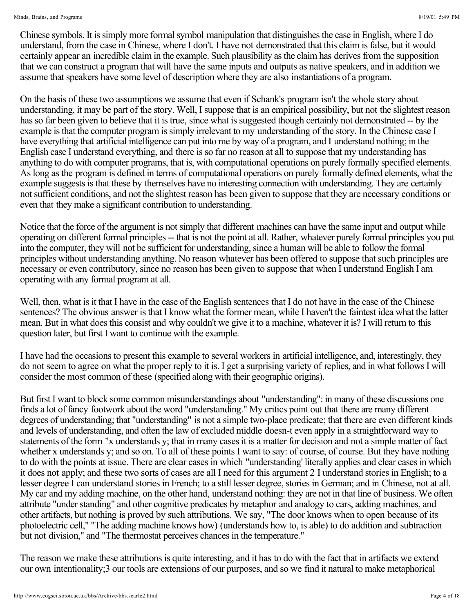Chinese symbols. It is simply more formal symbol manipulation that distinguishes the case in English, where I do understand, from the case in Chinese, where I don't. I have not demonstrated that this claim isfalse, but it would certainly appear an incredible claim in the example. Such plausibility as the claim has derives from the supposition that we can construct a program that will have the same inputs and outputs as native speakers, and in addition we assume that speakers have some level of description where they are also instantiations of a program.

On the basis of these two assumptions we assume that even if Schank's program isn't the whole story about understanding, it may be part of the story. Well, I suppose that is an empirical possibility, but not the slightest reason has so far been given to believe that it is true, since what is suggested though certainly not demonstrated -- by the example is that the computer program is simply irrelevant to my understanding of the story. In the Chinese case I have everything that artificial intelligence can put into me by way of a program, and I understand nothing; in the English case I understand everything, and there is so far no reason at all to suppose that my understanding has anything to do with computer programs, that is, with computational operations on purely formally specified elements. Aslong asthe program is defined in terms of computational operations on purely formally defined elements, what the example suggests is that these by themselves have no interesting connection with understanding. They are certainly not sufficient conditions, and not the slightest reason has been given to suppose that they are necessary conditions or even that they make a significant contribution to understanding.

Notice that the force of the argument is not simply that different machines can have the same input and output while operating on different formal principles-- that is not the point at all. Rather, whatever purely formal principles you put into the computer, they will not be sufficient for understanding, since a human will be able to follow the formal principles without understanding anything. No reason whatever has been offered to suppose that such principles are necessary or even contributory, since no reason has been given to suppose that when I understand English I am operating with any formal program at all.

Well, then, what is it that I have in the case of the English sentences that I do not have in the case of the Chinese sentences? The obvious answer is that I know what the former mean, while I haven't the faintest idea what the latter mean. But in what does this consist and why couldn't we give it to a machine, whatever it is? I will return to this question later, but first I want to continue with the example.

I have had the occasions to present this example to several workers in artificial intelligence, and, interestingly, they do not seem to agree on what the proper reply to it is. I get a surprising variety of replies, and in what followsI will consider the most common of these (specified along with their geographic origins).

But first I want to block some common misunderstandings about "understanding": in many of these discussions one finds a lot of fancy footwork about the word "understanding." My critics point out that there are many different degrees of understanding; that "understanding" is not a simple two-place predicate; that there are even different kinds and levels of understanding, and often the law of excluded middle doesn-t even apply in a straightforward way to statements of the form "x understands y; that in many cases it is a matter for decision and not a simple matter of fact whether x understands y; and so on. To all of these points I want to say: of course, of course. But they have nothing to do with the points at issue. There are clear cases in which "understanding' literally applies and clear casesin which it does not apply; and these two sorts of cases are all I need for this argument 2 I understand storiesin English; to a lesser degree I can understand stories in French; to a still lesser degree, stories in German; and in Chinese, not at all. My car and my adding machine, on the other hand, understand nothing: they are not in that line of business. We often attribute "under standing" and other cognitive predicates by metaphor and analogy to cars, adding machines, and other artifacts, but nothing is proved by such attributions. We say, "The door knows when to open because of its photoelectric cell," "The adding machine knows how) (understands how to, is able) to do addition and subtraction but not division," and "The thermostat perceives chances in the temperature."

The reason we make these attributions is quite interesting, and it has to do with the fact that in artifacts we extend our own intentionality;3 our tools are extensions of our purposes, and so we find it natural to make metaphorical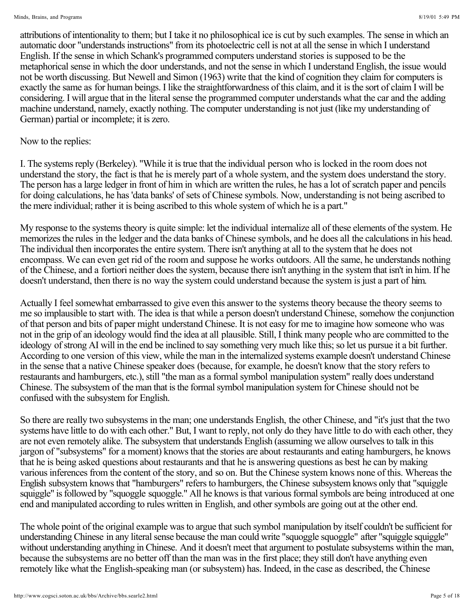attributions of intentionality to them; but I take it no philosophical ice is cut by such examples. The sense in which an automatic door "understands instructions" from its photoelectric cell is not at all the sense in which I understand English. If the sense in which Schank's programmed computers understand stories is supposed to be the metaphorical sense in which the door understands, and not the sense in which I understand English, the issue would not be worth discussing. But Newell and Simon (1963) write that the kind of cognition they claim for computers is exactly the same as for human beings. I like the straightforwardness of this claim, and it isthe sort of claim I will be considering. I will argue that in the literal sense the programmed computer understands what the car and the adding machine understand, namely, exactly nothing. The computer understanding is not just (like my understanding of German) partial or incomplete; it is zero.

#### Now to the replies:

I. The systems reply (Berkeley). "While it is true that the individual person who is locked in the room does not understand the story, the fact is that he is merely part of a whole system, and the system does understand the story. The person has a large ledger in front of him in which are written the rules, he has a lot of scratch paper and pencils for doing calculations, he has 'data banks' of sets of Chinese symbols. Now, understanding is not being ascribed to the mere individual; rather it is being ascribed to this whole system of which he is a part."

My response to the systems theory is quite simple: let the individual internalize all of these elements of the system. He memorizes the rules in the ledger and the data banks of Chinese symbols, and he does all the calculations in his head. The individual then incorporates the entire system. There isn't anything at all to the system that he does not encompass. We can even get rid of the room and suppose he works outdoors. All the same, he understands nothing of the Chinese, and a fortiori neither does the system, because there isn't anything in the system that isn't in him. If he doesn't understand, then there is no way the system could understand because the system is just a part of him.

Actually I feel somewhat embarrassed to give even this answer to the systems theory because the theory seems to me so implausible to start with. The idea is that while a person doesn't understand Chinese, somehow the conjunction of that person and bits of paper might understand Chinese. It is not easy for me to imagine how someone who was not in the grip of an ideology would find the idea at all plausible. Still, I think many people who are committed to the ideology of strong AI will in the end be inclined to say something very much like this; so let us pursue it a bit further. According to one version of this view, while the man in the internalized systems example doesn't understand Chinese in the sense that a native Chinese speaker does (because, for example, he doesn't know that the story refers to restaurants and hamburgers, etc.), still "the man as a formal symbol manipulation system" really does understand Chinese. The subsystem of the man that is the formal symbol manipulation system for Chinese should not be confused with the subsystem for English.

So there are really two subsystems in the man; one understands English, the other Chinese, and "it's just that the two systems have little to do with each other." But, I want to reply, not only do they have little to do with each other, they are not even remotely alike. The subsystem that understands English (assuming we allow ourselves to talk in this jargon of "subsystems" for a moment) knows that the stories are about restaurants and eating hamburgers, he knows that he is being asked questions about restaurants and that he is answering questions as best he can by making various inferences from the content of the story, and so on. But the Chinese system knows none of this. Whereas the English subsystem knows that "hamburgers" refers to hamburgers, the Chinese subsystem knows only that "squiggle squiggle" is followed by "squoggle squoggle." All he knows is that various formal symbols are being introduced at one end and manipulated according to rules written in English, and other symbols are going out at the other end.

The whole point of the original example was to argue that such symbol manipulation by itself couldn't be sufficient for understanding Chinese in any literal sense because the man could write "squoggle squoggle" after "squiggle squiggle" without understanding anything in Chinese. And it doesn't meet that argument to postulate subsystems within the man, because the subsystems are no better off than the man was in the first place; they still don't have anything even remotely like what the English-speaking man (or subsystem) has. Indeed, in the case as described, the Chinese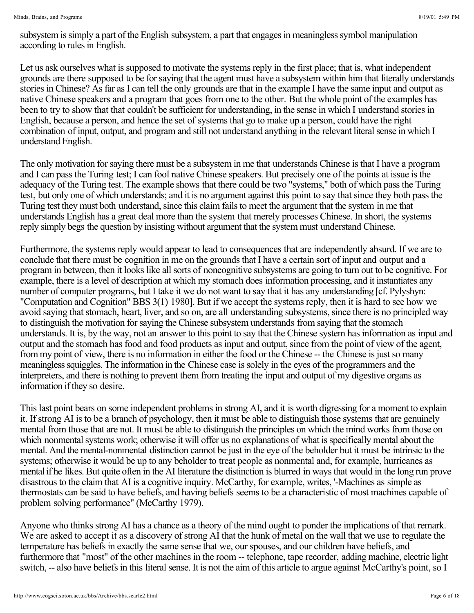subsystem is simply a part of the English subsystem, a part that engages in meaningless symbol manipulation according to rules in English.

Let us ask ourselves what is supposed to motivate the systems reply in the first place; that is, what independent grounds are there supposed to be for saying that the agent must have a subsystem within him that literally understands stories in Chinese? As far as I can tell the only grounds are that in the example I have the same input and output as native Chinese speakers and a program that goes from one to the other. But the whole point of the examples has been to try to show that that couldn't be sufficient for understanding, in the sense in which I understand stories in English, because a person, and hence the set of systems that go to make up a person, could have the right combination of input, output, and program and still not understand anything in the relevant literal sense in which I understand English.

The only motivation for saying there must be a subsystem in me that understands Chinese is that I have a program and I can pass the Turing test; I can fool native Chinese speakers. But precisely one of the points at issue is the adequacy of the Turing test. The example shows that there could be two "systems," both of which pass the Turing test, but only one of which understands; and it is no argument against this point to say that since they both pass the Turing test they must both understand, since this claim fails to meet the argument that the system in me that understands English has a great deal more than the system that merely processes Chinese. In short, the systems reply simply begs the question by insisting without argument that the system must understand Chinese.

Furthermore, the systems reply would appear to lead to consequences that are independently absurd. If we are to conclude that there must be cognition in me on the grounds that I have a certain sort of input and output and a program in between, then it looks like all sorts of noncognitive subsystems are going to turn out to be cognitive. For example, there is a level of description at which my stomach does information processing, and it instantiates any number of computer programs, but I take it we do not want to say that it has any understanding [cf. Pylyshyn: "Computation and Cognition" BBS 3(1) 1980]. But if we accept the systems reply, then it is hard to see how we avoid saying that stomach, heart, liver, and so on, are all understanding subsystems, since there is no principled way to distinguish the motivation for saying the Chinese subsystem understands from saying that the stomach understands. It is, by the way, not an answer to this point to say that the Chinese system has information as input and output and the stomach has food and food products as input and output, since from the point of view of the agent, from my point of view, there is no information in either the food or the Chinese -- the Chinese is just so many meaninglesssquiggles. The information in the Chinese case is solely in the eyes of the programmers and the interpreters, and there is nothing to prevent them from treating the input and output of my digestive organs as information if they so desire.

This last point bears on some independent problems in strong AI, and it is worth digressing for a moment to explain it. If strong AI is to be a branch of psychology, then it must be able to distinguish those systems that are genuinely mental from those that are not. It must be able to distinguish the principles on which the mind works from those on which nonmental systems work; otherwise it will offer us no explanations of what is specifically mental about the mental. And the mental-nonmental distinction cannot be just in the eye of the beholder but it must be intrinsic to the systems; otherwise it would be up to any beholder to treat people as nonmental and, for example, hurricanes as mental if he likes. But quite often in the AI literature the distinction is blurred in waysthat would in the long run prove disastrous to the claim that AI is a cognitive inquiry. McCarthy, for example, writes, '-Machines as simple as thermostats can be said to have beliefs, and having beliefs seems to be a characteristic of most machines capable of problem solving performance" (McCarthy 1979).

Anyone who thinks strong AI has a chance as a theory of the mind ought to ponder the implications of that remark. We are asked to accept it as a discovery of strong AI that the hunk of metal on the wall that we use to regulate the temperature has beliefs in exactly the same sense that we, our spouses, and our children have beliefs, and furthermore that "most" of the other machines in the room -- telephone, tape recorder, adding machine, electric light switch, -- also have beliefs in this literal sense. It is not the aim of this article to argue against McCarthy's point, so I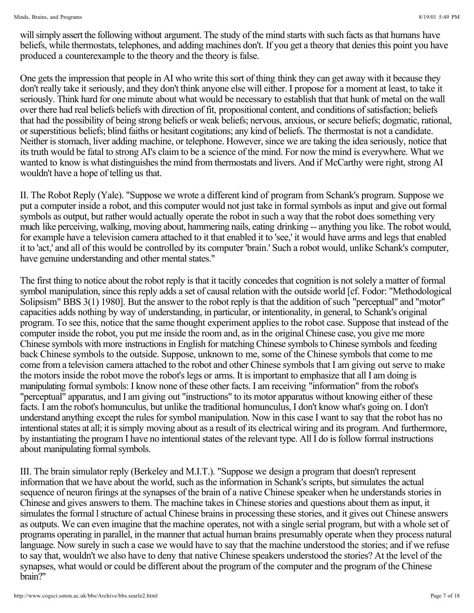will simply assert the following without argument. The study of the mind starts with such facts as that humans have beliefs, while thermostats, telephones, and adding machines don't. If you get a theory that deniesthis point you have produced a counterexample to the theory and the theory is false.

One gets the impression that people in AI who write this sort of thing think they can get away with it because they don't really take it seriously, and they don't think anyone else will either. I propose for a moment at least, to take it seriously. Think hard for one minute about what would be necessary to establish that that hunk of metal on the wall over there had real beliefs beliefs with direction of fit, propositional content, and conditions of satisfaction; beliefs that had the possibility of being strong beliefs or weak beliefs; nervous, anxious, orsecure beliefs; dogmatic, rational, orsuperstitious beliefs; blind faiths or hesitant cogitations; any kind of beliefs. The thermostat is not a candidate. Neither is stomach, liver adding machine, or telephone. However, since we are taking the idea seriously, notice that its truth would be fatal to strong AI's claim to be a science of the mind. For now the mind is everywhere. What we wanted to know is what distinguishes the mind from thermostats and livers. And if McCarthy were right, strong AI wouldn't have a hope of telling us that.

II. The Robot Reply (Yale). "Suppose we wrote a different kind of program from Schank's program. Suppose we put a computer inside a robot, and this computer would not just take in formal symbols as input and give out formal symbols as output, but rather would actually operate the robot in such a way that the robot does something very much like perceiving, walking, moving about, hammering nails, eating drinking -- anything you like. The robot would, for example have a television camera attached to it that enabled it to 'see,' it would have arms and legs that enabled it to 'act,' and all of this would be controlled by its computer 'brain.' Such a robot would, unlike Schank's computer, have genuine understanding and other mental states."

The first thing to notice about the robot reply is that it tacitly concedes that cognition is not solely a matter of formal symbol manipulation, since this reply adds a set of causal relation with the outside world [cf. Fodor: "Methodological Solipsism" BBS 3(1) 1980]. But the answer to the robot reply is that the addition of such "perceptual" and "motor" capacities adds nothing by way of understanding, in particular, or intentionality, in general, to Schank's original program. To see this, notice that the same thought experiment applies to the robot case. Suppose that instead of the computer inside the robot, you put me inside the room and, as in the original Chinese case, you give me more Chinese symbols with more instructions in English for matching Chinese symbols to Chinese symbols and feeding back Chinese symbols to the outside. Suppose, unknown to me, some of the Chinese symbols that come to me come from a television camera attached to the robot and other Chinese symbols that I am giving out serve to make the motors inside the robot move the robot's legs or arms. It isimportant to emphasize that all I am doing is manipulating formal symbols: I know none of these other facts. I am receiving "information" from the robot's "perceptual" apparatus, and I am giving out "instructions" to its motor apparatus without knowing either of these facts. I am the robot's homunculus, but unlike the traditional homunculus, I don't know what's going on. I don't understand anything except the rules for symbol manipulation. Now in this case I want to say that the robot has no intentional states at all; it is simply moving about as a result of its electrical wiring and its program. And furthermore, by instantiating the program I have no intentional states of the relevant type. All I do is follow formal instructions about manipulating formal symbols.

III. The brain simulator reply (Berkeley and M.I.T.). "Suppose we design a program that doesn't represent information that we have about the world, such as the information in Schank's scripts, but simulates the actual sequence of neuron firings at the synapses of the brain of a native Chinese speaker when he understands stories in Chinese and gives answers to them. The machine takes in Chinese stories and questions about them asinput, it simulates the formal I structure of actual Chinese brains in processing these stories, and it gives out Chinese answers as outputs. We can even imagine that the machine operates, not with a single serial program, but with a whole set of programs operating in parallel, in the manner that actual human brains presumably operate when they process natural language. Now surely in such a case we would have to say that the machine understood the stories; and if we refuse to say that, wouldn't we also have to deny that native Chinese speakers understood the stories? At the level of the synapses, what would or could be different about the program of the computer and the program of the Chinese brain?"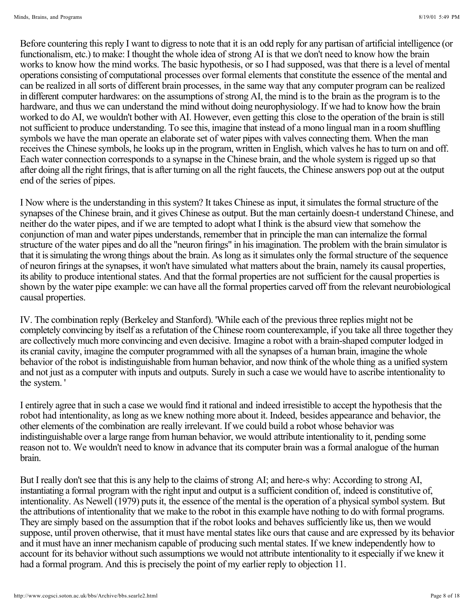Before countering this reply I want to digress to note that it is an odd reply for any partisan of artificial intelligence (or functionalism, etc.) to make: I thought the whole idea of strong AI is that we don't need to know how the brain works to know how the mind works. The basic hypothesis, or so I had supposed, was that there is a level of mental operations consisting of computational processes over formal elements that constitute the essence of the mental and can be realized in all sorts of different brain processes, in the same way that any computer program can be realized in different computer hardwares: on the assumptions of strong AI, the mind is to the brain as the program is to the hardware, and thus we can understand the mind without doing neurophysiology. If we had to know how the brain worked to do AI, we wouldn't bother with AI. However, even getting this close to the operation of the brain is still not sufficient to produce understanding. To see this, imagine that instead of a mono lingual man in a room shuffling symbols we have the man operate an elaborate set of water pipes with valves connecting them. When the man receives the Chinese symbols, he looks up in the program, written in English, which valves he has to turn on and off. Each water connection corresponds to a synapse in the Chinese brain, and the whole system is rigged up so that after doing all the right firings, that is after turning on all the right faucets, the Chinese answers pop out at the output end of the series of pipes.

I Now where is the understanding in this system? It takes Chinese as input, it simulates the formal structure of the synapses of the Chinese brain, and it gives Chinese as output. But the man certainly doesn-t understand Chinese, and neither do the water pipes, and if we are tempted to adopt what I think is the absurd view that somehow the conjunction of man and water pipes understands, remember that in principle the man can internalize the formal structure of the water pipes and do all the "neuron firings" in hisimagination. The problem with the brain simulator is that it is simulating the wrong things about the brain. As long as it simulates only the formal structure of the sequence of neuron firings at the synapses, it won't have simulated what matters about the brain, namely its causal properties, its ability to produce intentional states. And that the formal properties are not sufficient for the causal properties is shown by the water pipe example: we can have all the formal properties carved off from the relevant neurobiological causal properties.

IV. The combination reply (Berkeley and Stanford). 'While each of the previous three replies might not be completely convincing by itself as a refutation of the Chinese room counterexample, if you take all three together they are collectively much more convincing and even decisive. Imagine a robot with a brain-shaped computer lodged in its cranial cavity, imagine the computer programmed with all the synapses of a human brain, imagine the whole behavior of the robot is indistinguishable from human behavior, and now think of the whole thing as a unified system and not just as a computer with inputs and outputs. Surely in such a case we would have to ascribe intentionality to the system. '

I entirely agree that in such a case we would find it rational and indeed irresistible to accept the hypothesis that the robot had intentionality, as long as we knew nothing more about it. Indeed, besides appearance and behavior, the other elements of the combination are really irrelevant. If we could build a robot whose behavior was indistinguishable over a large range from human behavior, we would attribute intentionality to it, pending some reason not to. We wouldn't need to know in advance that its computer brain was a formal analogue of the human brain.

But I really don't see that this is any help to the claims of strong AI; and here-s why: According to strong AI, instantiating a formal program with the right input and output is a sufficient condition of, indeed is constitutive of, intentionality. As Newell (1979) puts it, the essence of the mental is the operation of a physical symbol system. But the attributions of intentionality that we make to the robot in this example have nothing to do with formal programs. They are simply based on the assumption that if the robot looks and behaves sufficiently like us, then we would suppose, until proven otherwise, that it must have mental states like ours that cause and are expressed by its behavior and it must have an inner mechanism capable of producing such mental states. If we knew independently how to account for its behavior without such assumptions we would not attribute intentionality to it especially if we knew it had a formal program. And this is precisely the point of my earlier reply to objection 11.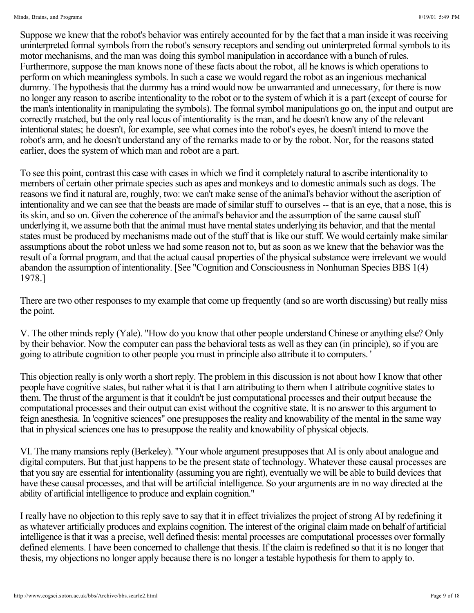Suppose we knew that the robot's behavior was entirely accounted for by the fact that a man inside it was receiving uninterpreted formal symbols from the robot's sensory receptors and sending out uninterpreted formal symbols to its motor mechanisms, and the man was doing this symbol manipulation in accordance with a bunch of rules. Furthermore, suppose the man knows none of these facts about the robot, all he knows is which operations to perform on which meaningless symbols. In such a case we would regard the robot as an ingenious mechanical dummy. The hypothesis that the dummy has a mind would now be unwarranted and unnecessary, for there is now no longer any reason to ascribe intentionality to the robot or to the system of which it is a part (except of course for the man's intentionality in manipulating the symbols). The formal symbol manipulations go on, the input and output are correctly matched, but the only real locus of intentionality is the man, and he doesn't know any of the relevant intentional states; he doesn't, for example, see what comes into the robot's eyes, he doesn't intend to move the robot's arm, and he doesn't understand any of the remarks made to or by the robot. Nor, for the reasons stated earlier, does the system of which man and robot are a part.

To see this point, contrast this case with cases in which we find it completely natural to ascribe intentionality to members of certain other primate species such as apes and monkeys and to domestic animals such as dogs. The reasons we find it natural are, roughly, two: we can't make sense of the animal's behavior without the ascription of intentionality and we can see that the beasts are made of similar stuff to ourselves -- that is an eye, that a nose, this is its skin, and so on. Given the coherence of the animal's behavior and the assumption of the same causal stuff underlying it, we assume both that the animal must have mental states underlying its behavior, and that the mental states must be produced by mechanisms made out of the stuff that is like our stuff. We would certainly make similar assumptions about the robot unless we had some reason not to, but as soon as we knew that the behavior was the result of a formal program, and that the actual causal properties of the physical substance were irrelevant we would abandon the assumption of intentionality. [See "Cognition and Consciousnessin Nonhuman Species BBS 1(4) 1978.]

There are two other responses to my example that come up frequently (and so are worth discussing) but really miss the point.

V. The other minds reply (Yale). "How do you know that other people understand Chinese or anything else? Only by their behavior. Now the computer can pass the behavioral tests as well as they can (in principle), so if you are going to attribute cognition to other people you must in principle also attribute it to computers. '

This objection really is only worth a short reply. The problem in this discussion is not about how I know that other people have cognitive states, but rather what it is that I am attributing to them when I attribute cognitive states to them. The thrust of the argument is that it couldn't be just computational processes and their output because the computational processes and their output can exist without the cognitive state. It is no answer to this argument to feign anesthesia. In 'cognitive sciences" one presupposes the reality and knowability of the mental in the same way that in physical sciences one has to presuppose the reality and knowability of physical objects.

VI. The many mansions reply (Berkeley). "Your whole argument presupposes that AI is only about analogue and digital computers. But that just happens to be the present state of technology. Whatever these causal processes are that you say are essential for intentionality (assuming you are right), eventually we will be able to build devices that have these causal processes, and that will be artificial intelligence. So your arguments are in no way directed at the ability of artificial intelligence to produce and explain cognition."

I really have no objection to this reply save to say that it in effect trivializes the project of strong AI by redefining it as whatever artificially produces and explains cognition. The interest of the original claim made on behalf of artificial intelligence isthat it was a precise, well defined thesis: mental processes are computational processes over formally defined elements. I have been concerned to challenge that thesis. If the claim is redefined so that it is no longer that thesis, my objections no longer apply because there is no longer a testable hypothesis for them to apply to.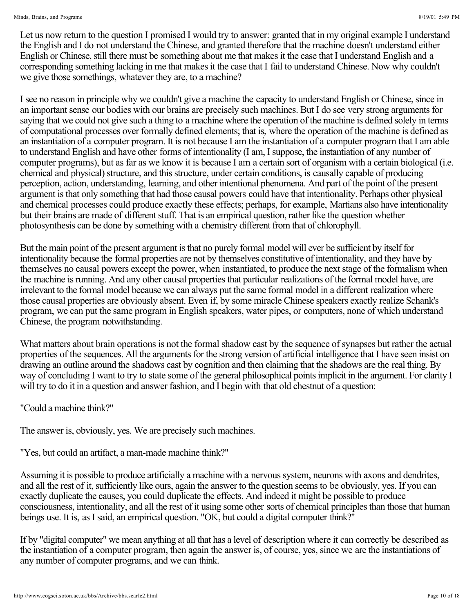Let us now return to the question I promised I would try to answer: granted that in my original example I understand the English and I do not understand the Chinese, and granted therefore that the machine doesn't understand either English or Chinese, still there must be something about me that makes it the case that I understand English and a corresponding something lacking in me that makesit the case that I fail to understand Chinese. Now why couldn't we give those somethings, whatever they are, to a machine?

I see no reason in principle why we couldn't give a machine the capacity to understand English or Chinese, since in an important sense our bodies with our brains are precisely such machines. But I do see very strong arguments for saying that we could not give such a thing to a machine where the operation of the machine is defined solely in terms of computational processes over formally defined elements; that is, where the operation of the machine is defined as an instantiation of a computer program. It is not because I am the instantiation of a computer program that I am able to understand English and have other forms of intentionality (I am, I suppose, the instantiation of any number of computer programs), but as far as we know it is because I am a certain sort of organism with a certain biological (i.e. chemical and physical) structure, and this structure, under certain conditions, is causally capable of producing perception, action, understanding, learning, and other intentional phenomena. And part of the point of the present argument is that only something that had those causal powers could have that intentionality. Perhaps other physical and chemical processes could produce exactly these effects; perhaps, for example, Martians also have intentionality but their brains are made of different stuff. That is an empirical question, rather like the question whether photosynthesis can be done by something with a chemistry different from that of chlorophyll.

But the main point of the present argument is that no purely formal model will ever be sufficient by itself for intentionality because the formal properties are not by themselves constitutive of intentionality, and they have by themselves no causal powers except the power, when instantiated, to produce the next stage of the formalism when the machine is running. And any other causal properties that particular realizations of the formal model have, are irrelevant to the formal model because we can always put the same formal model in a different realization where those causal properties are obviously absent. Even if, by some miracle Chinese speakers exactly realize Schank's program, we can put the same program in English speakers, water pipes, or computers, none of which understand Chinese, the program notwithstanding.

What matters about brain operations is not the formal shadow cast by the sequence of synapses but rather the actual properties of the sequences. All the arguments for the strong version of artificial intelligence that I have seen insist on drawing an outline around the shadows cast by cognition and then claiming that the shadows are the real thing. By way of concluding I want to try to state some of the general philosophical pointsimplicit in the argument. For clarity I will try to do it in a question and answer fashion, and I begin with that old chestnut of a question:

"Could a machine think?"

The answer is, obviously, yes. We are precisely such machines.

"Yes, but could an artifact, a man-made machine think?"

Assuming it is possible to produce artificially a machine with a nervous system, neurons with axons and dendrites, and all the rest of it, sufficiently like ours, again the answer to the question seems to be obviously, yes. If you can exactly duplicate the causes, you could duplicate the effects. And indeed it might be possible to produce consciousness, intentionality, and all the rest of it using some other sorts of chemical principlesthan those that human beings use. It is, as I said, an empirical question. "OK, but could a digital computer think?"

If by "digital computer" we mean anything at all that has a level of description where it can correctly be described as the instantiation of a computer program, then again the answer is, of course, yes, since we are the instantiations of any number of computer programs, and we can think.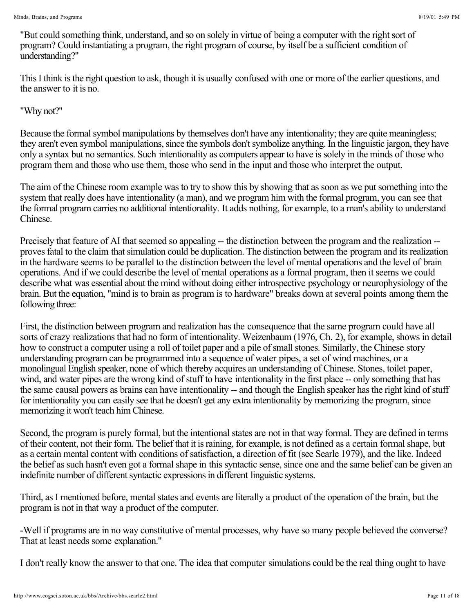"But could something think, understand, and so on solely in virtue of being a computer with the right sort of program? Could instantiating a program, the right program of course, by itself be a sufficient condition of understanding?"

This I think is the right question to ask, though it is usually confused with one or more of the earlier questions, and the answer to it is no.

"Why not?"

Because the formal symbol manipulations by themselves don't have any intentionality; they are quite meaningless; they aren't even symbol manipulations, since the symbols don't symbolize anything. In the linguistic jargon, they have only a syntax but no semantics. Such intentionality as computers appear to have issolely in the minds of those who program them and those who use them, those who send in the input and those who interpret the output.

The aim of the Chinese room example was to try to show this by showing that as soon as we put something into the system that really does have intentionality (a man), and we program him with the formal program, you can see that the formal program carries no additional intentionality. It adds nothing, for example, to a man's ability to understand Chinese.

Precisely that feature of AI that seemed so appealing -- the distinction between the program and the realization - proves fatal to the claim that simulation could be duplication. The distinction between the program and its realization in the hardware seems to be parallel to the distinction between the level of mental operations and the level of brain operations. And if we could describe the level of mental operations as a formal program, then it seems we could describe what was essential about the mind without doing either introspective psychology or neurophysiology of the brain. But the equation, "mind is to brain as program is to hardware" breaks down at several points among them the following three:

First, the distinction between program and realization hasthe consequence that the same program could have all sorts of crazy realizations that had no form of intentionality. Weizenbaum (1976, Ch. 2), for example, shows in detail how to construct a computer using a roll of toilet paper and a pile of small stones. Similarly, the Chinese story understanding program can be programmed into a sequence of water pipes, a set of wind machines, or a monolingual English speaker, none of which thereby acquires an understanding of Chinese. Stones, toilet paper, wind, and water pipes are the wrong kind of stuff to have intentionality in the first place -- only something that has the same causal powers as brains can have intentionality -- and though the English speaker has the right kind of stuff for intentionality you can easily see that he doesn't get any extra intentionality by memorizing the program, since memorizing it won't teach him Chinese.

Second, the program is purely formal, but the intentional states are not in that way formal. They are defined in terms of their content, not their form. The belief that it israining, for example, is not defined as a certain formal shape, but as a certain mental content with conditions of satisfaction, a direction of fit (see Searle 1979), and the like. Indeed the belief as such hasn't even got a formal shape in this syntactic sense, since one and the same belief can be given an indefinite number of different syntactic expressions in different linguistic systems.

Third, as I mentioned before, mental states and events are literally a product of the operation of the brain, but the program is not in that way a product of the computer.

-Well if programs are in no way constitutive of mental processes, why have so many people believed the converse? That at least needs some explanation."

I don't really know the answer to that one. The idea that computer simulations could be the real thing ought to have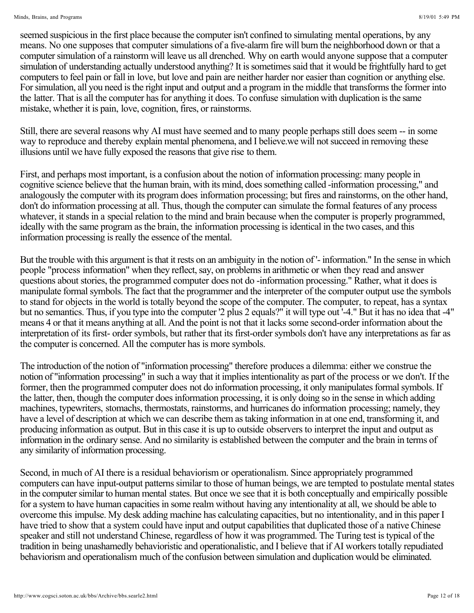seemed suspicious in the first place because the computer isn't confined to simulating mental operations, by any means. No one supposes that computer simulations of a five-alarm fire will burn the neighborhood down or that a computer simulation of a rainstorm will leave us all drenched. Why on earth would anyone suppose that a computer simulation of understanding actually understood anything? It is sometimes said that it would be frightfully hard to get computers to feel pain or fall in love, but love and pain are neither harder nor easier than cognition or anything else. For simulation, all you need is the right input and output and a program in the middle that transforms the former into the latter. That is all the computer has for anything it does. To confuse simulation with duplication is the same mistake, whether it is pain, love, cognition, fires, or rainstorms.

Still, there are several reasons why AI must have seemed and to many people perhaps still does seem -- in some way to reproduce and thereby explain mental phenomena, and I believe we will not succeed in removing these illusions until we have fully exposed the reasonsthat give rise to them.

First, and perhaps most important, is a confusion about the notion of information processing: many people in cognitive science believe that the human brain, with its mind, does something called -information processing," and analogously the computer with its program does information processing; but fires and rainstorms, on the other hand, don't do information processing at all. Thus, though the computer can simulate the formal features of any process whatever, it stands in a special relation to the mind and brain because when the computer is properly programmed, ideally with the same program as the brain, the information processing is identical in the two cases, and this information processing is really the essence of the mental.

But the trouble with this argument is that it rests on an ambiguity in the notion of '- information." In the sense in which people "process information" when they reflect, say, on problems in arithmetic or when they read and answer questions about stories, the programmed computer does not do -information processing." Rather, what it does is manipulate formal symbols. The fact that the programmer and the interpreter of the computer output use the symbols to stand for objects in the world is totally beyond the scope of the computer. The computer, to repeat, has a syntax but no semantics. Thus, if you type into the computer '2 plus 2 equals?" it will type out '-4." But it has no idea that -4" means 4 or that it means anything at all. And the point is not that it lacks some second-order information about the interpretation of its first- order symbols, but rather that its first-order symbols don't have any interpretations as far as the computer is concerned. All the computer has is more symbols.

The introduction of the notion of "information processing" therefore produces a dilemma: either we construe the notion of "information processing" in such a way that it implies intentionality as part of the process or we don't. If the former, then the programmed computer does not do information processing, it only manipulates formal symbols. If the latter, then, though the computer doesinformation processing, it is only doing so in the sense in which adding machines, typewriters, stomachs, thermostats, rainstorms, and hurricanes do information processing; namely, they have a level of description at which we can describe them astaking information in at one end, transforming it, and producing information as output. But in this case it is up to outside observers to interpret the input and output as information in the ordinary sense. And no similarity is established between the computer and the brain in terms of any similarity of information processing.

Second, in much of AI there is a residual behaviorism or operationalism. Since appropriately programmed computers can have input-output patterns similar to those of human beings, we are tempted to postulate mental states in the computer similar to human mental states. But once we see that it is both conceptually and empirically possible for a system to have human capacities in some realm without having any intentionality at all, we should be able to overcome this impulse. My desk adding machine has calculating capacities, but no intentionality, and in this paper I have tried to show that a system could have input and output capabilities that duplicated those of a native Chinese speaker and still not understand Chinese, regardless of how it was programmed. The Turing test is typical of the tradition in being unashamedly behavioristic and operationalistic, and I believe that if AI workers totally repudiated behaviorism and operationalism much of the confusion between simulation and duplication would be eliminated.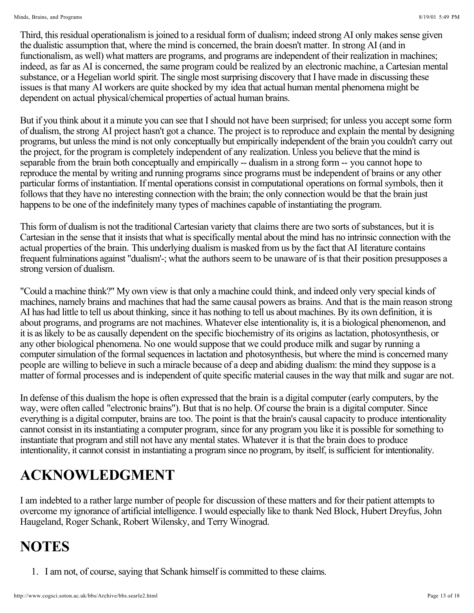Third, this residual operationalism is joined to a residual form of dualism; indeed strong AI only makes sense given the dualistic assumption that, where the mind is concerned, the brain doesn't matter. In strong AI (and in functionalism, as well) what matters are programs, and programs are independent of their realization in machines; indeed, as far as AI is concerned, the same program could be realized by an electronic machine, a Cartesian mental substance, or a Hegelian world spirit. The single most surprising discovery that I have made in discussing these issues is that many AI workers are quite shocked by my idea that actual human mental phenomena might be dependent on actual physical/chemical properties of actual human brains.

But if you think about it a minute you can see that I should not have been surprised; for unless you accept some form of dualism, the strong AI project hasn't got a chance. The project is to reproduce and explain the mental by designing programs, but unlessthe mind is not only conceptually but empirically independent of the brain you couldn't carry out the project, for the program is completely independent of any realization. Unless you believe that the mind is separable from the brain both conceptually and empirically -- dualism in a strong form -- you cannot hope to reproduce the mental by writing and running programs since programs must be independent of brains or any other particular forms of instantiation. If mental operations consist in computational operations on formal symbols, then it follows that they have no interesting connection with the brain; the only connection would be that the brain just happens to be one of the indefinitely many types of machines capable of instantiating the program.

This form of dualism is not the traditional Cartesian variety that claims there are two sorts of substances, but it is Cartesian in the sense that it insists that what is specifically mental about the mind has no intrinsic connection with the actual properties of the brain. This underlying dualism is masked from us by the fact that AI literature contains frequent fulminations against "dualism'-; what the authors seem to be unaware of is that their position presupposes a strong version of dualism.

"Could a machine think?" My own view is that only a machine could think, and indeed only very special kinds of machines, namely brains and machines that had the same causal powers as brains. And that is the main reason strong AI has had little to tell us about thinking, since it has nothing to tell us about machines. By its own definition, it is about programs, and programs are not machines. Whatever else intentionality is, it is a biological phenomenon, and it is aslikely to be as causally dependent on the specific biochemistry of its origins as lactation, photosynthesis, or any other biological phenomena. No one would suppose that we could produce milk and sugar by running a computer simulation of the formal sequences in lactation and photosynthesis, but where the mind is concerned many people are willing to believe in such a miracle because of a deep and abiding dualism: the mind they suppose is a matter of formal processes and is independent of quite specific material causes in the way that milk and sugar are not.

In defense of this dualism the hope is often expressed that the brain is a digital computer (early computers, by the way, were often called "electronic brains"). But that is no help. Of course the brain is a digital computer. Since everything is a digital computer, brains are too. The point is that the brain's causal capacity to produce intentionality cannot consist in its instantiating a computer program, since for any program you like it is possible forsomething to instantiate that program and still not have any mental states. Whatever it is that the brain does to produce intentionality, it cannot consist in instantiating a program since no program, by itself, is sufficient for intentionality.

## **ACKNOWLEDGMENT**

I am indebted to a rather large number of people for discussion of these matters and for their patient attempts to overcome my ignorance of artificial intelligence. I would especially like to thank Ned Block, Hubert Dreyfus, John Haugeland, Roger Schank, Robert Wilensky, and Terry Winograd.

# **NOTES**

1. I am not, of course, saying that Schank himself is committed to these claims.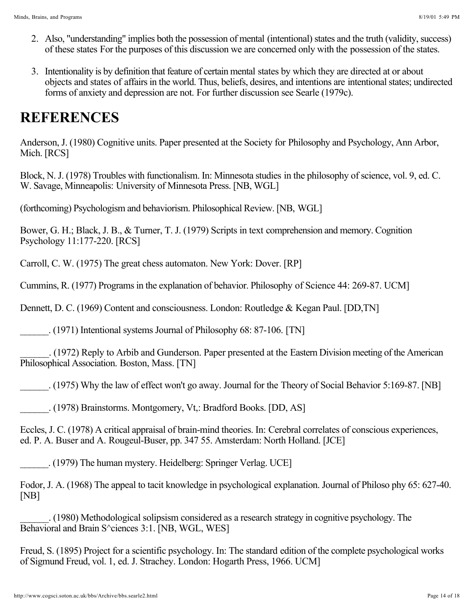- 2. Also, "understanding" implies both the possession of mental (intentional) states and the truth (validity, success) of these states For the purposes of this discussion we are concerned only with the possession of the states.
- 3. Intentionality is by definition that feature of certain mental states by which they are directed at or about objects and states of affairs in the world. Thus, beliefs, desires, and intentions are intentional states; undirected forms of anxiety and depression are not. For further discussion see Searle (1979c).

### **REFERENCES**

Anderson, J. (1980) Cognitive units. Paper presented at the Society for Philosophy and Psychology, Ann Arbor, Mich. [RCS]

Block, N.J. (1978) Troubles with functionalism. In: Minnesota studies in the philosophy of science, vol. 9, ed. C. W. Savage, Minneapolis: University of Minnesota Press. [NB, WGL]

(forthcoming) Psychologism and behaviorism. Philosophical Review. [NB, WGL]

Bower, G. H.; Black, J. B., & Turner, T. J. (1979) Scripts in text comprehension and memory. Cognition Psychology 11:177-220. [RCS]

Carroll, C. W. (1975) The great chess automaton. New York: Dover. [RP]

Cummins, R. (1977) Programsin the explanation of behavior. Philosophy of Science 44: 269-87. UCM]

Dennett, D. C. (1969) Content and consciousness. London: Routledge & Kegan Paul. [DD,TN]

\_\_\_\_\_\_. (1971) Intentional systems Journal of Philosophy 68: 87-106. [TN]

\_\_\_\_\_\_. (1972) Reply to Arbib and Gunderson. Paper presented at the Eastern Division meeting of the American Philosophical Association. Boston, Mass. [TN]

\_\_\_\_\_\_. (1975) Why the law of effect won't go away. Journal for the Theory of Social Behavior 5:169-87. [NB]

\_\_\_\_\_\_. (1978) Brainstorms. Montgomery, Vt,: Bradford Books. [DD, AS]

Eccles, J. C. (1978) A critical appraisal of brain-mind theories. In: Cerebral correlates of conscious experiences, ed. P. A. Buser and A. Rougeul-Buser, pp. 347 55. Amsterdam: North Holland. [JCE]

\_\_\_\_\_\_. (1979) The human mystery. Heidelberg: Springer Verlag. UCE]

Fodor, J. A. (1968) The appeal to tacit knowledge in psychological explanation. Journal of Philoso phy 65: 627-40. [NB]

\_\_\_\_\_\_. (1980) Methodological solipsism considered as a research strategy in cognitive psychology. The Behavioral and Brain S^ciences 3:1. [NB, WGL, WES]

Freud, S. (1895) Project for a scientific psychology. In: The standard edition of the complete psychological works of Sigmund Freud, vol. 1, ed. J. Strachey. London: Hogarth Press, 1966. UCM]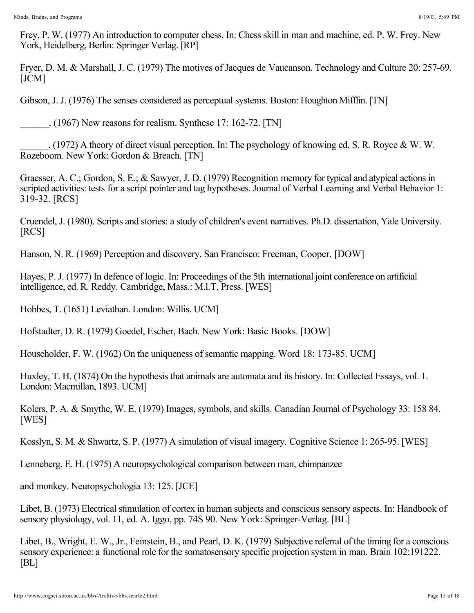Frey, P. W. (1977) An introduction to computer chess. In: Chess skill in man and machine, ed. P. W. Frey. New York, Heidelberg, Berlin: Springer Verlag. [RP]

Fryer, D. M. & Marshall, J. C. (1979) The motives of Jacques de Vaucanson. Technology and Culture 20: 257-69. [JCM]

Gibson, J. J. (1976) The senses considered as perceptual systems. Boston: Houghton Mifflin. [TN]

\_\_\_\_\_\_. (1967) New reasons for realism. Synthese 17: 162-72. [TN]

\_\_\_\_\_\_. (1972) A theory of direct visual perception. In: The psychology of knowing ed. S. R. Royce & W. W. Rozeboom. New York: Gordon & Breach. [TN]

Graesser, A. C.; Gordon, S. E.; & Sawyer, J. D. (1979) Recognition memory for typical and atypical actions in scripted activities: tests for a script pointer and tag hypotheses. Journal of Verbal Learning and Verbal Behavior 1: 319-32. [RCS]

Cruendel, J. (1980). Scripts and stories: a study of children's event narratives. Ph.D. dissertation, Yale University. [RCS]

Hanson, N. R. (1969) Perception and discovery. San Francisco: Freeman, Cooper. [DOW]

Hayes, P. J. (1977) In defence of logic. In: Proceedings of the 5th international joint conference on artificial intelligence, ed. R. Reddy. Cambridge, Mass.: M.l.T. Press. [WES]

Hobbes, T. (1651) Leviathan. London: Willis. UCM]

Hofstadter, D. R. (1979) Goedel, Escher, Bach. New York: Basic Books. [DOW]

Householder, F. W. (1962) On the uniqueness of semantic mapping. Word 18: 173-85. UCM]

Huxley, T. H. (1874) On the hypothesis that animals are automata and its history. In: Collected Essays, vol. 1. London: Macmillan, 1893. UCM]

Kolers, P. A. & Smythe, W. E. (1979) Images, symbols, and skills. Canadian Journal of Psychology 33: 158 84. [WES]

Kosslyn, S. M. & Shwartz, S. P. (1977) A simulation of visual imagery. Cognitive Science 1: 265-95. [WES]

Lenneberg, E. H. (1975) A neuropsychological comparison between man, chimpanzee

and monkey. Neuropsychologia 13: 125. [JCE]

Libet, B. (1973) Electrical stimulation of cortex in human subjects and conscious sensory aspects. In: Handbook of sensory physiology, vol. 11, ed. A. Iggo, pp. 74S 90. New York: Springer-Verlag. [BL]

Libet, B., Wright, E. W., Jr., Feinstein, B., and Pearl, D. K. (1979) Subjective referral of the timing for a conscious sensory experience: a functional role for the somatosensory specific projection system in man. Brain 102:191222. [BL]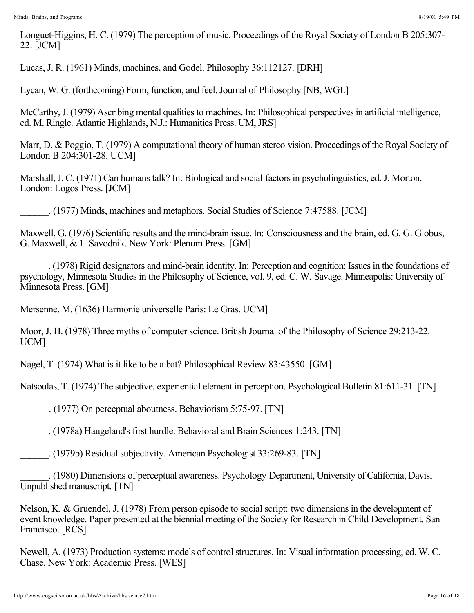Longuet-Higgins, H. C. (1979) The perception of music. Proceedings of the Royal Society of London B 205:307- 22. [JCM]

Lucas, J. R. (1961) Minds, machines, and Godel. Philosophy 36:112127. [DRH]

Lycan, W. G. (forthcoming) Form, function, and feel. Journal of Philosophy [NB, WGL]

McCarthy, J. (1979) Ascribing mental qualities to machines. In: Philosophical perspectives in artificial intelligence, ed. M. Ringle. Atlantic Highlands, N.J.: Humanities Press. UM, JRS]

Marr, D. & Poggio, T. (1979) A computational theory of human stereo vision. Proceedings of the Royal Society of London B 204:301-28. UCM]

Marshall, J. C. (1971) Can humans talk? In: Biological and social factors in psycholinguistics, ed. J. Morton. London: Logos Press. [JCM]

\_\_\_\_\_\_. (1977) Minds, machines and metaphors. Social Studies of Science 7:47588. [JCM]

Maxwell, G. (1976) Scientific results and the mind-brain issue. In: Consciousness and the brain, ed. G. G. Globus, G. Maxwell, & 1. Savodnik. New York: Plenum Press. [GM]

\_\_\_\_\_\_. (1978) Rigid designators and mind-brain identity. In: Perception and cognition: Issuesin the foundations of psychology, Minnesota Studies in the Philosophy of Science, vol. 9, ed. C. W. Savage. Minneapolis: University of Minnesota Press. [GM]

Mersenne, M. (1636) Harmonie universelle Paris: Le Gras. UCM]

Moor, J. H. (1978) Three myths of computer science. British Journal of the Philosophy of Science 29:213-22. UCM]

Nagel, T. (1974) What is it like to be a bat? Philosophical Review 83:43550. [GM]

Natsoulas, T. (1974) The subjective, experiential element in perception. Psychological Bulletin 81:611-31. [TN]

\_\_\_\_\_\_. (1977) On perceptual aboutness. Behaviorism 5:75-97. [TN]

\_\_\_\_\_\_. (1978a) Haugeland's first hurdle. Behavioral and Brain Sciences 1:243. [TN]

\_\_\_\_\_\_. (1979b) Residual subjectivity. American Psychologist 33:269-83. [TN]

\_\_\_\_\_\_. (1980) Dimensions of perceptual awareness. Psychology Department, University of California, Davis. Unpublished manuscript. [TN]

Nelson, K. & Gruendel, J. (1978) From person episode to social script: two dimensionsin the development of event knowledge. Paper presented at the biennial meeting of the Society for Research in Child Development, San Francisco. [RCS]

Newell, A. (1973) Production systems: models of control structures. In: Visual information processing, ed. W. C. Chase. New York: Academic Press. [WES]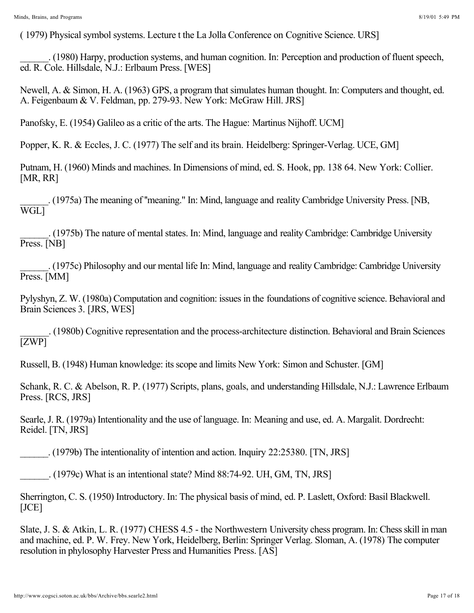( 1979) Physical symbol systems. Lecture t the La Jolla Conference on Cognitive Science. URS]

\_\_\_\_\_\_. (1980) Harpy, production systems, and human cognition. In: Perception and production of fluent speech, ed. R. Cole. Hillsdale, N.J.: Erlbaum Press. [WES]

Newell, A. & Simon, H. A. (1963) GPS, a program that simulates human thought. In: Computers and thought, ed. A. Feigenbaum & V. Feldman, pp. 279-93. New York: McGraw Hill. JRS]

Panofsky, E. (1954) Galileo as a critic of the arts. The Hague: Martinus Nijhoff. UCM]

Popper, K. R. & Eccles, J. C. (1977) The self and its brain. Heidelberg: Springer-Verlag. UCE. GM1

Putnam, H. (1960) Minds and machines. In Dimensions of mind, ed. S. Hook, pp. 138 64. New York: Collier. [MR, RR]

\_\_\_\_\_\_. (1975a) The meaning of ''meaning." In: Mind, language and reality Cambridge University Press. [NB, WGL<sub>1</sub>

\_\_\_\_\_\_. (1975b) The nature of mental states. In: Mind, language and reality Cambridge: Cambridge University Press. [NB]

\_\_\_\_\_\_. (1975c) Philosophy and our mental life In: Mind, language and reality Cambridge: Cambridge University Press. [MM]

Pylyshyn, Z. W. (1980a) Computation and cognition: issuesin the foundations of cognitive science. Behavioral and Brain Sciences 3. [JRS, WES]

\_\_\_\_\_\_. (1980b) Cognitive representation and the process-architecture distinction. Behavioral and Brain Sciences [ZWP]

Russell, B. (1948) Human knowledge: its scope and limits New York: Simon and Schuster. [GM]

Schank, R. C. & Abelson, R. P. (1977) Scripts, plans, goals, and understanding Hillsdale, N.J.: Lawrence Erlbaum Press. [RCS, JRS]

Searle, J. R. (1979a) Intentionality and the use of language. In: Meaning and use, ed. A. Margalit. Dordrecht: Reidel. [TN, JRS]

\_\_\_\_\_\_. (1979b) The intentionality of intention and action. Inquiry 22:25380. [TN, JRS]

\_\_\_\_\_\_. (1979c) What is an intentional state? Mind 88:74-92. UH, GM, TN, JRS]

Sherrington, C. S. (1950) Introductory. In: The physical basis of mind, ed. P. Laslett, Oxford: Basil Blackwell. [JCE]

Slate, J. S. & Atkin, L. R. (1977) CHESS 4.5 - the Northwestern University chess program. In: Chess skill in man and machine, ed. P. W. Frey. New York, Heidelberg, Berlin: Springer Verlag. Sloman, A. (1978) The computer resolution in phylosophy Harvester Press and Humanities Press. [AS]